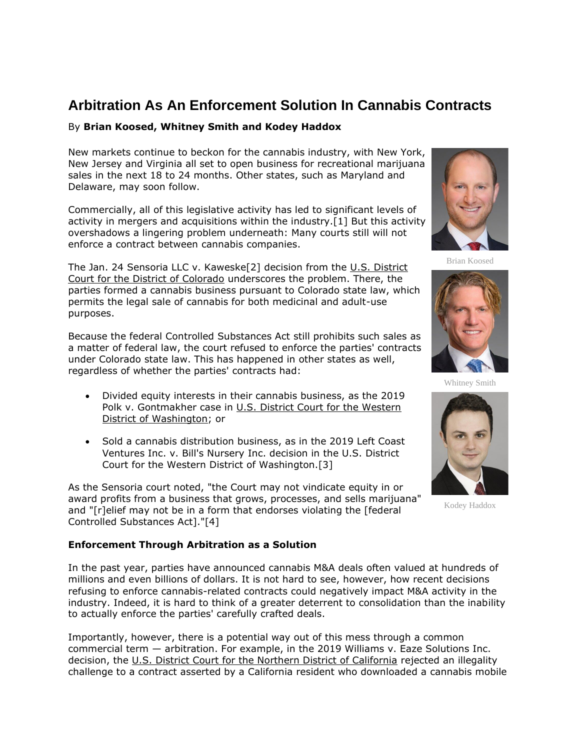# **Arbitration As An Enforcement Solution In Cannabis Contracts**

## By **Brian Koosed, Whitney Smith and Kodey Haddox**

New markets continue to beckon for the cannabis industry, with New York, New Jersey and Virginia all set to open business for recreational marijuana sales in the next 18 to 24 months. Other states, such as Maryland and Delaware, may soon follow.

Commercially, all of this legislative activity has led to significant levels of activity in mergers and acquisitions within the industry.[1] But this activity overshadows a lingering problem underneath: Many courts still will not enforce a contract between cannabis companies.

The Jan. 24 Sensoria LLC v. Kaweske[2] decision from the [U.S. District](https://www.law360.com/agencies/united-states-district-court-for-the-district-of-colorado)  [Court for the District of Colorado](https://www.law360.com/agencies/united-states-district-court-for-the-district-of-colorado) underscores the problem. There, the parties formed a cannabis business pursuant to Colorado state law, which permits the legal sale of cannabis for both medicinal and adult-use purposes.

Because the federal Controlled Substances Act still prohibits such sales as a matter of federal law, the court refused to enforce the parties' contracts under Colorado state law. This has happened in other states as well, regardless of whether the parties' contracts had:

- Divided equity interests in their cannabis business, as the 2019 Polk v. Gontmakher case in U.S. District Court for the Western [District of Washington;](https://www.law360.com/agencies/u-s-district-court-for-the-western-district-of-washington) or
- Sold a cannabis distribution business, as in the 2019 Left Coast Ventures Inc. v. Bill's Nursery Inc. decision in the U.S. District Court for the Western District of Washington.[3]

As the Sensoria court noted, "the Court may not vindicate equity in or award profits from a business that grows, processes, and sells marijuana" and "[r]elief may not be in a form that endorses violating the [federal Controlled Substances Act]."[4]

### **Enforcement Through Arbitration as a Solution**

In the past year, parties have announced cannabis M&A deals often valued at hundreds of millions and even billions of dollars. It is not hard to see, however, how recent decisions refusing to enforce cannabis-related contracts could negatively impact M&A activity in the industry. Indeed, it is hard to think of a greater deterrent to consolidation than the inability to actually enforce the parties' carefully crafted deals.

Importantly, however, there is a potential way out of this mess through a common commercial term — arbitration. For example, in the 2019 Williams v. Eaze Solutions Inc. decision, the [U.S. District Court for the Northern District of California](https://www.law360.com/agencies/u-s-district-court-for-the-northern-district-of-california) rejected an illegality challenge to a contract asserted by a California resident who downloaded a cannabis mobile



Brian Koosed



Whitney Smith



Kodey Haddox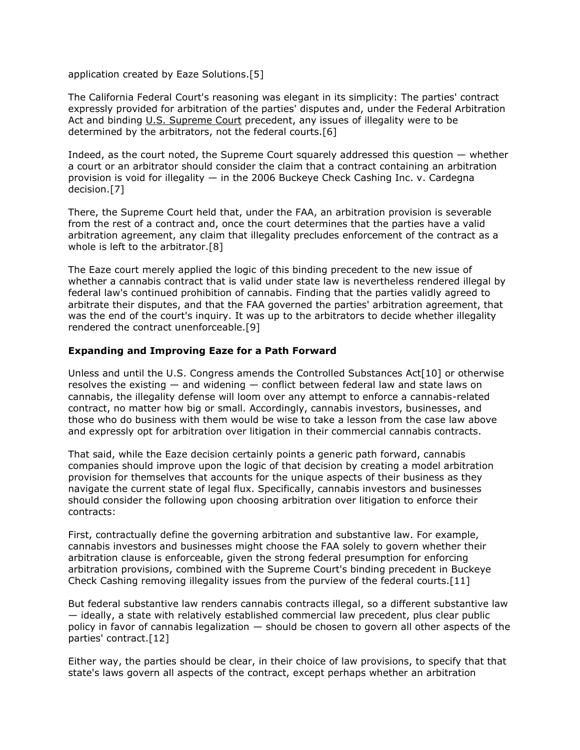application created by Eaze Solutions.[5]

The California Federal Court's reasoning was elegant in its simplicity: The parties' contract expressly provided for arbitration of the parties' disputes and, under the Federal Arbitration Act and binding [U.S. Supreme Court](https://www.law360.com/agencies/u-s-supreme-court) precedent, any issues of illegality were to be determined by the arbitrators, not the federal courts.[6]

Indeed, as the court noted, the Supreme Court squarely addressed this question  $-$  whether a court or an arbitrator should consider the claim that a contract containing an arbitration provision is void for illegality — in the 2006 Buckeye Check Cashing Inc. v. Cardegna decision.[7]

There, the Supreme Court held that, under the FAA, an arbitration provision is severable from the rest of a contract and, once the court determines that the parties have a valid arbitration agreement, any claim that illegality precludes enforcement of the contract as a whole is left to the arbitrator.[8]

The Eaze court merely applied the logic of this binding precedent to the new issue of whether a cannabis contract that is valid under state law is nevertheless rendered illegal by federal law's continued prohibition of cannabis. Finding that the parties validly agreed to arbitrate their disputes, and that the FAA governed the parties' arbitration agreement, that was the end of the court's inquiry. It was up to the arbitrators to decide whether illegality rendered the contract unenforceable.[9]

### **Expanding and Improving Eaze for a Path Forward**

Unless and until the U.S. Congress amends the Controlled Substances Act<sup>[10]</sup> or otherwise resolves the existing — and widening — conflict between federal law and state laws on cannabis, the illegality defense will loom over any attempt to enforce a cannabis-related contract, no matter how big or small. Accordingly, cannabis investors, businesses, and those who do business with them would be wise to take a lesson from the case law above and expressly opt for arbitration over litigation in their commercial cannabis contracts.

That said, while the Eaze decision certainly points a generic path forward, cannabis companies should improve upon the logic of that decision by creating a model arbitration provision for themselves that accounts for the unique aspects of their business as they navigate the current state of legal flux. Specifically, cannabis investors and businesses should consider the following upon choosing arbitration over litigation to enforce their contracts:

First, contractually define the governing arbitration and substantive law. For example, cannabis investors and businesses might choose the FAA solely to govern whether their arbitration clause is enforceable, given the strong federal presumption for enforcing arbitration provisions, combined with the Supreme Court's binding precedent in Buckeye Check Cashing removing illegality issues from the purview of the federal courts.[11]

But federal substantive law renders cannabis contracts illegal, so a different substantive law — ideally, a state with relatively established commercial law precedent, plus clear public policy in favor of cannabis legalization — should be chosen to govern all other aspects of the parties' contract.[12]

Either way, the parties should be clear, in their choice of law provisions, to specify that that state's laws govern all aspects of the contract, except perhaps whether an arbitration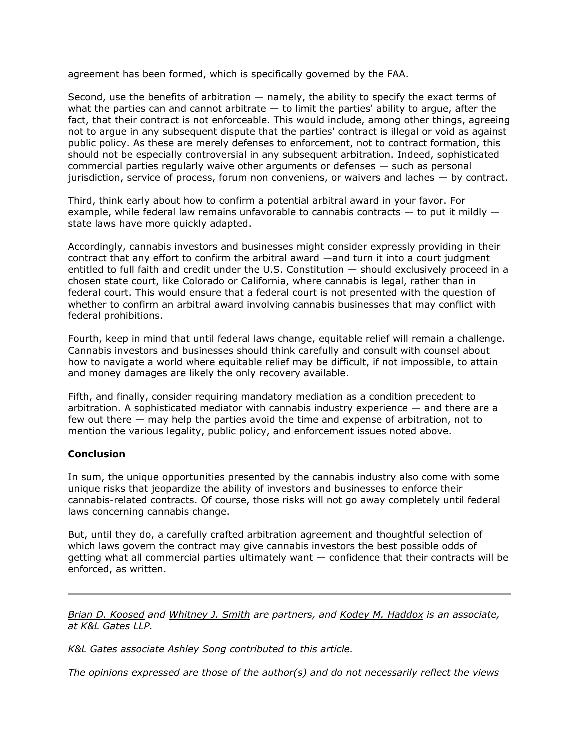agreement has been formed, which is specifically governed by the FAA.

Second, use the benefits of arbitration — namely, the ability to specify the exact terms of what the parties can and cannot arbitrate  $-$  to limit the parties' ability to argue, after the fact, that their contract is not enforceable. This would include, among other things, agreeing not to argue in any subsequent dispute that the parties' contract is illegal or void as against public policy. As these are merely defenses to enforcement, not to contract formation, this should not be especially controversial in any subsequent arbitration. Indeed, sophisticated commercial parties regularly waive other arguments or defenses — such as personal jurisdiction, service of process, forum non conveniens, or waivers and laches — by contract.

Third, think early about how to confirm a potential arbitral award in your favor. For example, while federal law remains unfavorable to cannabis contracts  $-$  to put it mildly  $$ state laws have more quickly adapted.

Accordingly, cannabis investors and businesses might consider expressly providing in their contract that any effort to confirm the arbitral award —and turn it into a court judgment entitled to full faith and credit under the U.S. Constitution — should exclusively proceed in a chosen state court, like Colorado or California, where cannabis is legal, rather than in federal court. This would ensure that a federal court is not presented with the question of whether to confirm an arbitral award involving cannabis businesses that may conflict with federal prohibitions.

Fourth, keep in mind that until federal laws change, equitable relief will remain a challenge. Cannabis investors and businesses should think carefully and consult with counsel about how to navigate a world where equitable relief may be difficult, if not impossible, to attain and money damages are likely the only recovery available.

Fifth, and finally, consider requiring mandatory mediation as a condition precedent to arbitration. A sophisticated mediator with cannabis industry experience  $-$  and there are a few out there — may help the parties avoid the time and expense of arbitration, not to mention the various legality, public policy, and enforcement issues noted above.

### **Conclusion**

In sum, the unique opportunities presented by the cannabis industry also come with some unique risks that jeopardize the ability of investors and businesses to enforce their cannabis-related contracts. Of course, those risks will not go away completely until federal laws concerning cannabis change.

But, until they do, a carefully crafted arbitration agreement and thoughtful selection of which laws govern the contract may give cannabis investors the best possible odds of getting what all commercial parties ultimately want — confidence that their contracts will be enforced, as written.

*[Brian D. Koosed](https://www.klgates.com/Brian-D-Koosed) and [Whitney J. Smith](https://www.klgates.com/Whitney-J-Smith) are partners, and [Kodey M. Haddox](https://www.klgates.com/Kodey-M-Haddox) is an associate, at [K&L Gates LLP.](https://www.law360.com/firms/k-l-gates)*

*K&L Gates associate Ashley Song contributed to this article.*

*The opinions expressed are those of the author(s) and do not necessarily reflect the views*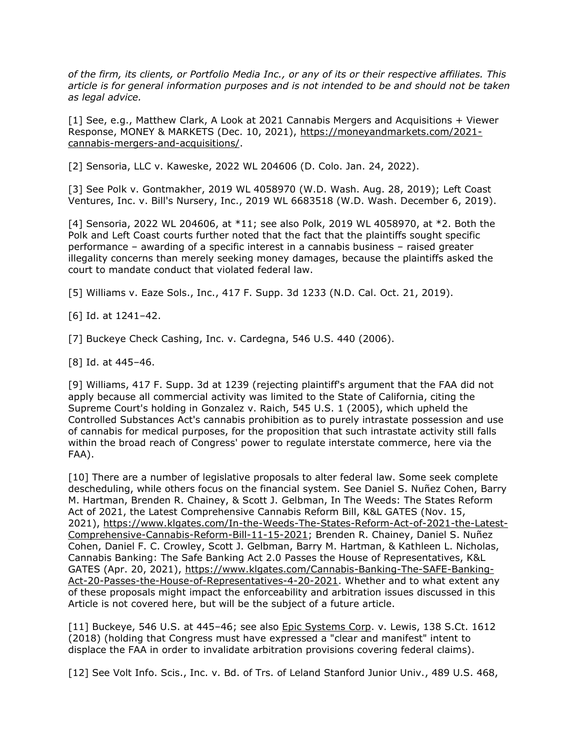*of the firm, its clients, or Portfolio Media Inc., or any of its or their respective affiliates. This article is for general information purposes and is not intended to be and should not be taken as legal advice.*

[1] See, e.g., Matthew Clark, A Look at 2021 Cannabis Mergers and Acquisitions + Viewer Response, MONEY & MARKETS (Dec. 10, 2021), [https://moneyandmarkets.com/2021](https://moneyandmarkets.com/2021-cannabis-mergers-and-acquisitions/) [cannabis-mergers-and-acquisitions/.](https://moneyandmarkets.com/2021-cannabis-mergers-and-acquisitions/)

[2] Sensoria, LLC v. Kaweske, 2022 WL 204606 (D. Colo. Jan. 24, 2022).

[3] See Polk v. Gontmakher, 2019 WL 4058970 (W.D. Wash. Aug. 28, 2019); Left Coast Ventures, Inc. v. Bill's Nursery, Inc., 2019 WL 6683518 (W.D. Wash. December 6, 2019).

[4] Sensoria, 2022 WL 204606, at \*11; see also Polk, 2019 WL 4058970, at \*2. Both the Polk and Left Coast courts further noted that the fact that the plaintiffs sought specific performance – awarding of a specific interest in a cannabis business – raised greater illegality concerns than merely seeking money damages, because the plaintiffs asked the court to mandate conduct that violated federal law.

[5] Williams v. Eaze Sols., Inc., 417 F. Supp. 3d 1233 (N.D. Cal. Oct. 21, 2019).

[6] Id. at 1241–42.

[7] Buckeye Check Cashing, Inc. v. Cardegna, 546 U.S. 440 (2006).

[8] Id. at 445–46.

[9] Williams, 417 F. Supp. 3d at 1239 (rejecting plaintiff's argument that the FAA did not apply because all commercial activity was limited to the State of California, citing the Supreme Court's holding in Gonzalez v. Raich, 545 U.S. 1 (2005), which upheld the Controlled Substances Act's cannabis prohibition as to purely intrastate possession and use of cannabis for medical purposes, for the proposition that such intrastate activity still falls within the broad reach of Congress' power to regulate interstate commerce, here via the FAA).

[10] There are a number of legislative proposals to alter federal law. Some seek complete descheduling, while others focus on the financial system. See Daniel S. Nuñez Cohen, Barry M. Hartman, Brenden R. Chainey, & Scott J. Gelbman, In The Weeds: The States Reform Act of 2021, the Latest Comprehensive Cannabis Reform Bill, K&L GATES (Nov. 15, 2021), [https://www.klgates.com/In-the-Weeds-The-States-Reform-Act-of-2021-the-Latest-](https://www.klgates.com/In-the-Weeds-The-States-Reform-Act-of-2021-the-Latest-Comprehensive-Cannabis-Reform-Bill-11-15-2021)[Comprehensive-Cannabis-Reform-Bill-11-15-2021;](https://www.klgates.com/In-the-Weeds-The-States-Reform-Act-of-2021-the-Latest-Comprehensive-Cannabis-Reform-Bill-11-15-2021) Brenden R. Chainey, Daniel S. Nuñez Cohen, Daniel F. C. Crowley, Scott J. Gelbman, Barry M. Hartman, & Kathleen L. Nicholas, Cannabis Banking: The Safe Banking Act 2.0 Passes the House of Representatives, K&L GATES (Apr. 20, 2021), [https://www.klgates.com/Cannabis-Banking-The-SAFE-Banking-](https://www.klgates.com/Cannabis-Banking-The-SAFE-Banking-Act-20-Passes-the-House-of-Representatives-4-20-2021)[Act-20-Passes-the-House-of-Representatives-4-20-2021.](https://www.klgates.com/Cannabis-Banking-The-SAFE-Banking-Act-20-Passes-the-House-of-Representatives-4-20-2021) Whether and to what extent any of these proposals might impact the enforceability and arbitration issues discussed in this Article is not covered here, but will be the subject of a future article.

[11] Buckeye, 546 U.S. at 445–46; see also [Epic Systems Corp.](https://www.law360.com/companies/epic-systems-corp) v. Lewis, 138 S.Ct. 1612 (2018) (holding that Congress must have expressed a "clear and manifest" intent to displace the FAA in order to invalidate arbitration provisions covering federal claims).

[12] See Volt Info. Scis., Inc. v. Bd. of Trs. of Leland Stanford Junior Univ., 489 U.S. 468,